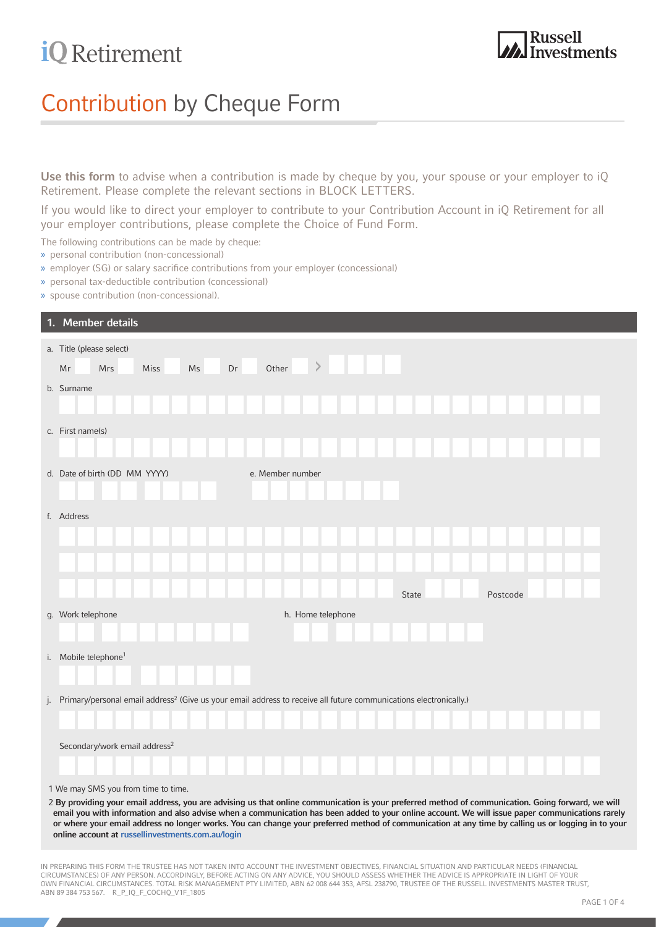## **iQ** Retirement

## Contribution by Cheque Form

Use this form to advise when a contribution is made by cheque by you, your spouse or your employer to iQ Retirement. Please complete the relevant sections in BLOCK LETTERS.

If you would like to direct your employer to contribute to your Contribution Account in iQ Retirement for all your employer contributions, please complete the Choice of Fund Form.

The following contributions can be made by cheque:

- » personal contribution (non-concessional)
- » employer (SG) or salary sacrifice contributions from your employer (concessional)
- » personal tax-deductible contribution (concessional)
- » spouse contribution (non-concessional).

| 1. Member details                                                                                                                     |
|---------------------------------------------------------------------------------------------------------------------------------------|
| a. Title (please select)                                                                                                              |
| $\, > \,$<br>Dr<br>Other<br>Mrs<br>Miss<br>$\mathsf{Ms}$<br>Mr                                                                        |
| b. Surname                                                                                                                            |
|                                                                                                                                       |
| c. First name(s)                                                                                                                      |
|                                                                                                                                       |
| d. Date of birth (DD MM YYYY)<br>e. Member number                                                                                     |
|                                                                                                                                       |
|                                                                                                                                       |
| f. Address                                                                                                                            |
|                                                                                                                                       |
|                                                                                                                                       |
|                                                                                                                                       |
| State<br>Postcode                                                                                                                     |
| h. Home telephone<br>g. Work telephone                                                                                                |
|                                                                                                                                       |
| i. Mobile telephone <sup>1</sup>                                                                                                      |
|                                                                                                                                       |
| j. Primary/personal email address <sup>2</sup> (Give us your email address to receive all future communications electronically.)      |
|                                                                                                                                       |
|                                                                                                                                       |
| Secondary/work email address <sup>2</sup>                                                                                             |
|                                                                                                                                       |
| 1 We may SMS you from time to time.<br>$\sim$<br>$\sim$<br>$\sim$<br>$\sim$<br>$\sim$<br>$\sim$<br>$\sim$<br>$\sim$<br>$\sim$<br>$ -$ |

2 By providing your email address, you are advising us that online communication is your preferred method of communication. Going forward, we will email you with information and also advise when a communication has been added to your online account. We will issue paper communications rarely or where your email address no longer works. You can change your preferred method of communication at any time by calling us or logging in to your online account at [russellinvestments.com.au/login](http://russellinvestments.com.au/login)

IN PREPARING THIS FORM THE TRUSTEE HAS NOT TAKEN INTO ACCOUNT THE INVESTMENT OBJECTIVES, FINANCIAL SITUATION AND PARTICULAR NEEDS (FINANCIAL CIRCUMSTANCES) OF ANY PERSON. ACCORDINGLY, BEFORE ACTING ON ANY ADVICE, YOU SHOULD ASSESS WHETHER THE ADVICE IS APPROPRIATE IN LIGHT OF YOUR OWN FINANCIAL CIRCUMSTANCES. TOTAL RISK MANAGEMENT PTY LIMITED, ABN 62 008 644 353, AFSL 238790, TRUSTEE OF THE RUSSELL INVESTMENTS MASTER TRUST, ABN 89 384 753 567. R\_P\_iQ\_F\_CoChq\_V1F\_1805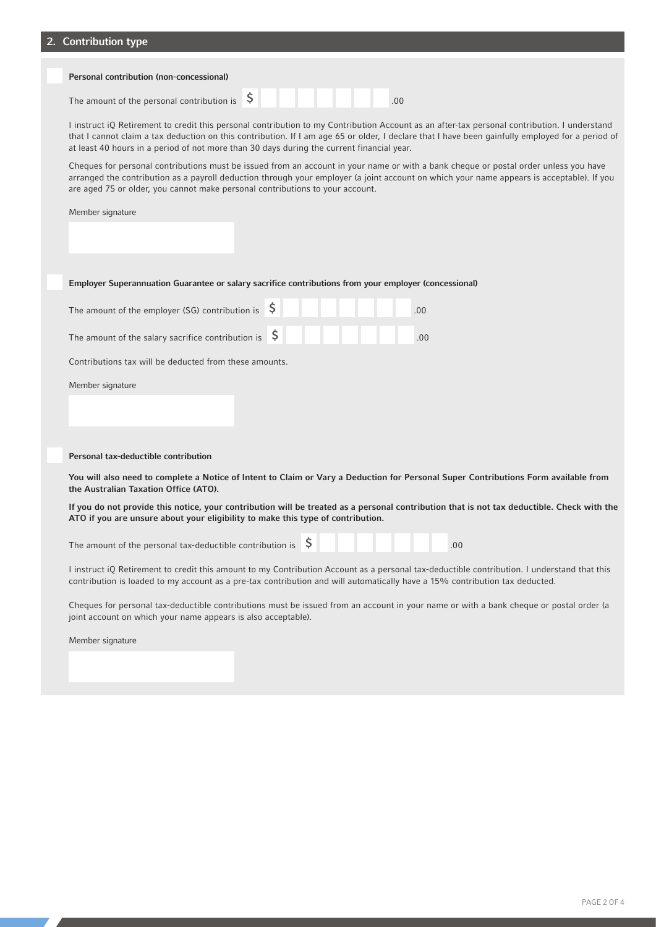## 2. Contribution type

| Personal contribution (non-concessional)                                     |  |  |  |  |  |
|------------------------------------------------------------------------------|--|--|--|--|--|
| The amount of the personal contribution is $\begin{bmatrix} 5 \end{bmatrix}$ |  |  |  |  |  |

I instruct iQ Retirement to credit this personal contribution to my Contribution Account as an after-tax personal contribution. I understand that I cannot claim a tax deduction on this contribution. If I am age 65 or older, I declare that I have been gainfully employed for a period of at least 40 hours in a period of not more than 30 days during the current financial year.

Cheques for personal contributions must be issued from an account in your name or with a bank cheque or postal order unless you have arranged the contribution as a payroll deduction through your employer (a joint account on which your name appears is acceptable). If you are aged 75 or older, you cannot make personal contributions to your account.

Member signature

|  | Employer Superannuation Guarantee or salary sacrifice contributions from your employer (concessional) |  |
|--|-------------------------------------------------------------------------------------------------------|--|
|--|-------------------------------------------------------------------------------------------------------|--|

| The amount of the employer (SG) contribution is $\$$                        |  | .00 |
|-----------------------------------------------------------------------------|--|-----|
| The amount of the salary sacrifice contribution is $\vert \mathsf{S} \vert$ |  | .00 |
| Contributions tax will be deducted from these amounts.                      |  |     |
| Member signature                                                            |  |     |
|                                                                             |  |     |

Personal tax-deductible contribution

You will also need to complete a Notice of Intent to Claim or Vary a Deduction for Personal Super Contributions Form available from the Australian Taxation Office (ATO).

If you do not provide this notice, your contribution will be treated as a personal contribution that is not tax deductible. Check with the ATO if you are unsure about your eligibility to make this type of contribution.

The amount of the personal tax-deductible contribution is  $\begin{bmatrix} 5 \\ 1 \end{bmatrix}$   $\begin{bmatrix} 1 \\ 1 \end{bmatrix}$  .00

I instruct iQ Retirement to credit this amount to my Contribution Account as a personal tax-deductible contribution. I understand that this contribution is loaded to my account as a pre-tax contribution and will automatically have a 15% contribution tax deducted.

Cheques for personal tax-deductible contributions must be issued from an account in your name or with a bank cheque or postal order (a joint account on which your name appears is also acceptable).

Member signature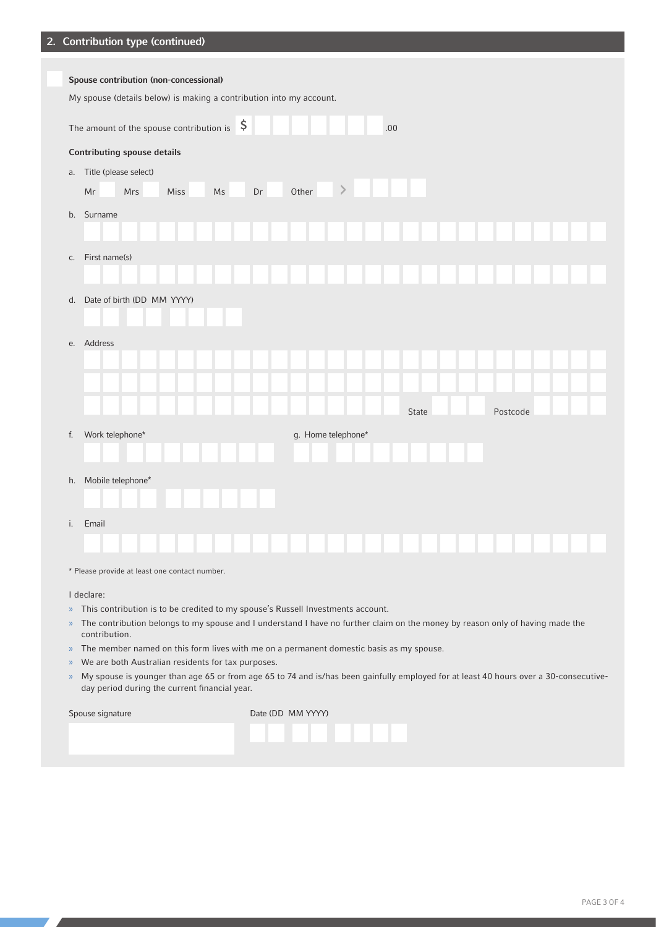|  | 2. Contribution type (continued) |  |  |
|--|----------------------------------|--|--|
|--|----------------------------------|--|--|

| Spouse contribution (non-concessional)<br>My spouse (details below) is making a contribution into my account. |
|---------------------------------------------------------------------------------------------------------------|
| The amount of the spouse contribution is $\sin \theta$<br>.00                                                 |
| <b>Contributing spouse details</b>                                                                            |
| Title (please select)<br>a.                                                                                   |
| $\left. \right\rangle$<br>Other<br>Mr<br>Mrs<br>Miss<br>Ms<br>Dr                                              |
| Surname<br>b.                                                                                                 |
|                                                                                                               |
| First name(s)<br>C.                                                                                           |
|                                                                                                               |
| Date of birth (DD MM YYYY)<br>d.                                                                              |
|                                                                                                               |
| Address<br>e.                                                                                                 |
|                                                                                                               |
|                                                                                                               |
| State<br>Postcode                                                                                             |
| Work telephone*<br>g. Home telephone*<br>f.                                                                   |
|                                                                                                               |
| Mobile telephone*<br>h.                                                                                       |
| Email<br>i.                                                                                                   |
|                                                                                                               |
| * Please provide at least one contact number.                                                                 |

I declare:

- » This contribution is to be credited to my spouse's Russell Investments account.
- » The contribution belongs to my spouse and I understand I have no further claim on the money by reason only of having made the contribution.
- » The member named on this form lives with me on a permanent domestic basis as my spouse.
- » We are both Australian residents for tax purposes.
- » My spouse is younger than age 65 or from age 65 to 74 and is/has been gainfully employed for at least 40 hours over a 30-consecutiveday period during the current financial year.

| Spouse signature | Date (DD MM YYYY) |
|------------------|-------------------|
|                  |                   |